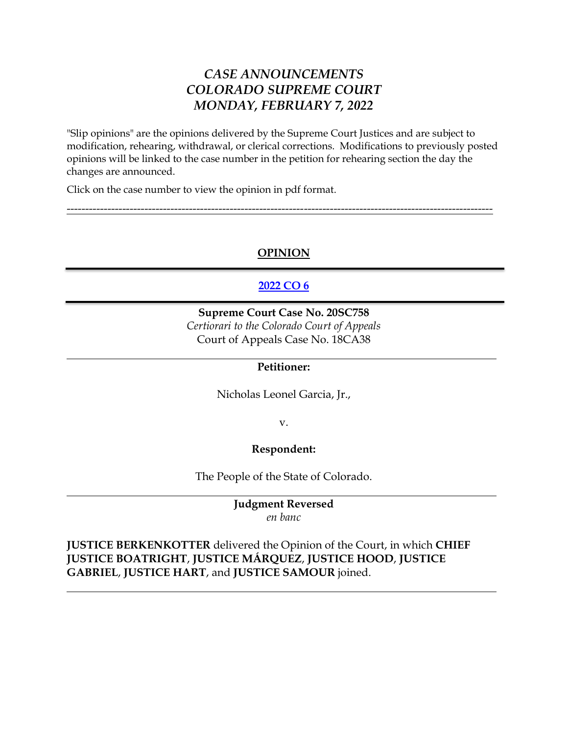# *CASE ANNOUNCEMENTS COLORADO SUPREME COURT MONDAY, FEBRUARY 7, 2022*

"Slip opinions" are the opinions delivered by the Supreme Court Justices and are subject to modification, rehearing, withdrawal, or clerical corrections. Modifications to previously posted opinions will be linked to the case number in the petition for rehearing section the day the changes are announced.

Click on the case number to view the opinion in pdf format.

# **OPINION**

-------------------------------------------------------------------------------------------------------------------

# **[2022 CO 6](https://www.courts.state.co.us/userfiles/file/Court_Probation/Supreme_Court/Opinions/2020/20SC758.pdf)**

**Supreme Court Case No. 20SC758** *Certiorari to the Colorado Court of Appeals* Court of Appeals Case No. 18CA38

### **Petitioner:**

Nicholas Leonel Garcia, Jr.,

v.

#### **Respondent:**

The People of the State of Colorado.

#### **Judgment Reversed** *en banc*

**JUSTICE BERKENKOTTER** delivered the Opinion of the Court, in which **CHIEF JUSTICE BOATRIGHT**, **JUSTICE MÁRQUEZ**, **JUSTICE HOOD**, **JUSTICE GABRIEL**, **JUSTICE HART**, and **JUSTICE SAMOUR** joined.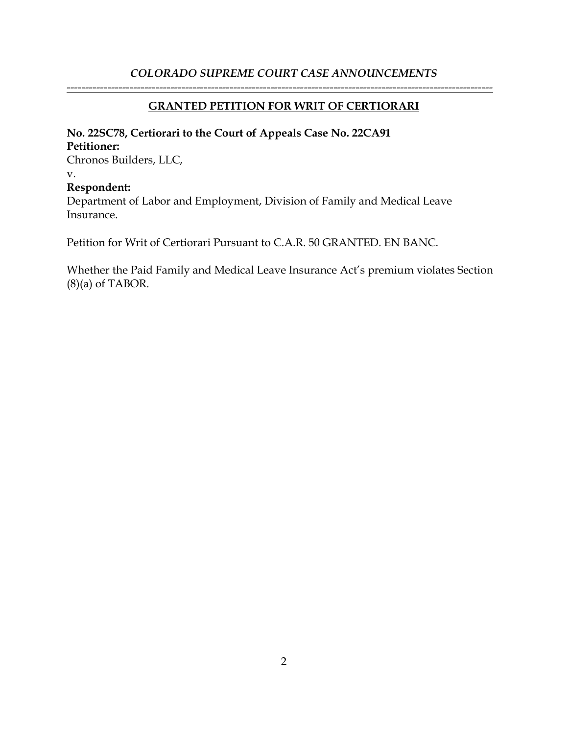# **GRANTED PETITION FOR WRIT OF CERTIORARI**

-------------------------------------------------------------------------------------------------------------------

### **No. 22SC78, Certiorari to the Court of Appeals Case No. 22CA91 Petitioner:**

Chronos Builders, LLC, v. **Respondent:** Department of Labor and Employment, Division of Family and Medical Leave Insurance.

Petition for Writ of Certiorari Pursuant to C.A.R. 50 GRANTED. EN BANC.

Whether the Paid Family and Medical Leave Insurance Act's premium violates Section  $(8)(a)$  of TABOR.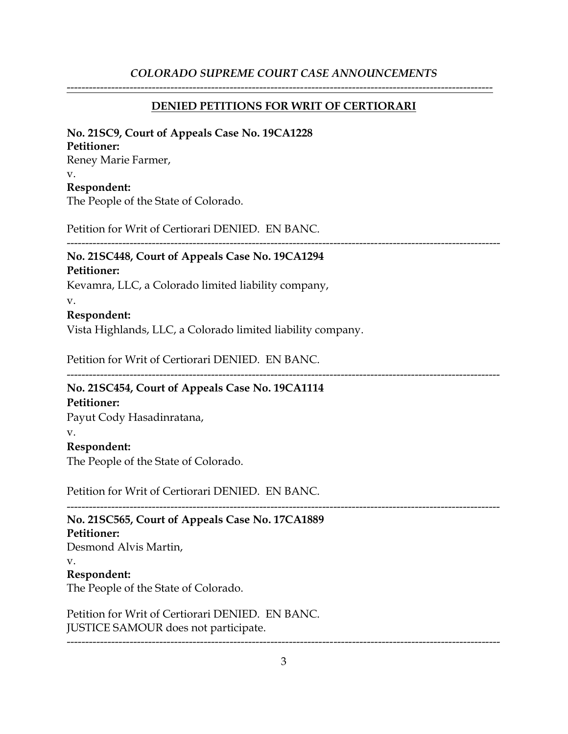### **DENIED PETITIONS FOR WRIT OF CERTIORARI**

-------------------------------------------------------------------------------------------------------------------

#### **No. 21SC9, Court of Appeals Case No. 19CA1228**

#### **Petitioner:**

Reney Marie Farmer, v. **Respondent:** The People of the State of Colorado.

Petition for Writ of Certiorari DENIED. EN BANC.

---------------------------------------------------------------------------------------------------------------------

# **No. 21SC448, Court of Appeals Case No. 19CA1294**

#### **Petitioner:**

Kevamra, LLC, a Colorado limited liability company,

v.

### **Respondent:**

Vista Highlands, LLC, a Colorado limited liability company.

Petition for Writ of Certiorari DENIED. EN BANC.

---------------------------------------------------------------------------------------------------------------------

# **No. 21SC454, Court of Appeals Case No. 19CA1114**

# **Petitioner:**

Payut Cody Hasadinratana,

#### v.

## **Respondent:**

The People of the State of Colorado.

Petition for Writ of Certiorari DENIED. EN BANC.

#### --------------------------------------------------------------------------------------------------------------------- **No. 21SC565, Court of Appeals Case No. 17CA1889**

### **Petitioner:**

Desmond Alvis Martin, v.

# **Respondent:**

The People of the State of Colorado.

Petition for Writ of Certiorari DENIED. EN BANC. JUSTICE SAMOUR does not participate.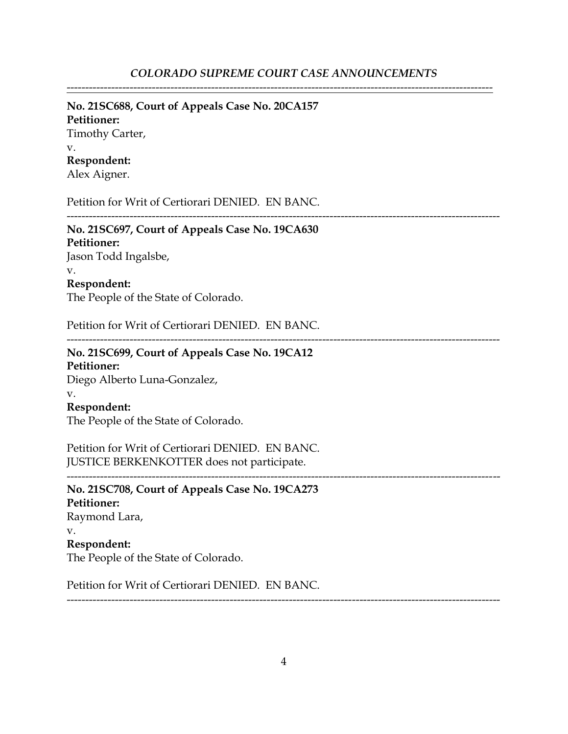-------------------------------------------------------------------------------------------------------------------

#### **No. 21SC688, Court of Appeals Case No. 20CA157**

**Petitioner:** Timothy Carter, v. **Respondent:** Alex Aigner.

Petition for Writ of Certiorari DENIED. EN BANC.

---------------------------------------------------------------------------------------------------------------------

# **No. 21SC697, Court of Appeals Case No. 19CA630**

**Petitioner:** Jason Todd Ingalsbe, v. **Respondent:**

The People of the State of Colorado.

Petition for Writ of Certiorari DENIED. EN BANC.

---------------------------------------------------------------------------------------------------------------------

# **No. 21SC699, Court of Appeals Case No. 19CA12**

**Petitioner:** Diego Alberto Luna-Gonzalez,

### v.

#### **Respondent:**

The People of the State of Colorado.

Petition for Writ of Certiorari DENIED. EN BANC. JUSTICE BERKENKOTTER does not participate.

**No. 21SC708, Court of Appeals Case No. 19CA273 Petitioner:** Raymond Lara, v. **Respondent:** The People of the State of Colorado.

Petition for Writ of Certiorari DENIED. EN BANC.

---------------------------------------------------------------------------------------------------------------------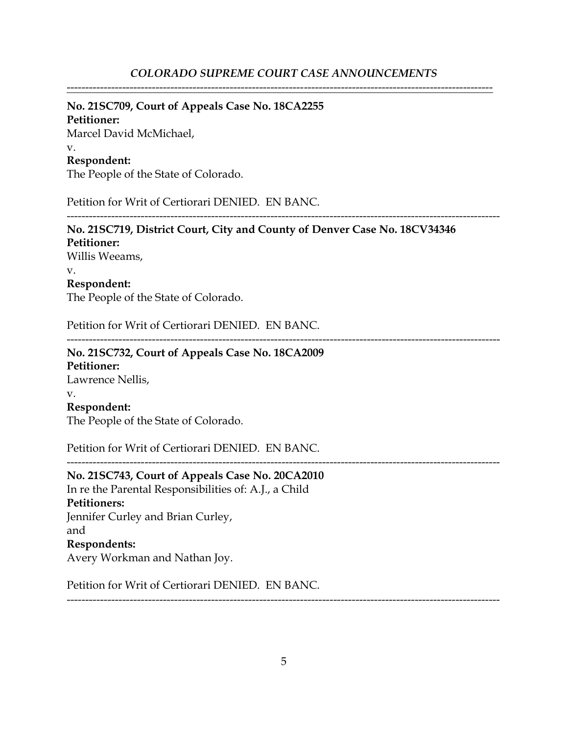-------------------------------------------------------------------------------------------------------------------

## **No. 21SC709, Court of Appeals Case No. 18CA2255**

**Petitioner:** Marcel David McMichael, v. **Respondent:**

The People of the State of Colorado.

Petition for Writ of Certiorari DENIED. EN BANC.

--------------------------------------------------------------------------------------------------------------------- **No. 21SC719, District Court, City and County of Denver Case No. 18CV34346 Petitioner:** Willis Weeams, v. **Respondent:** The People of the State of Colorado. Petition for Writ of Certiorari DENIED. EN BANC. ---------------------------------------------------------------------------------------------------------------------

**No. 21SC732, Court of Appeals Case No. 18CA2009 Petitioner:** Lawrence Nellis, v. **Respondent:** The People of the State of Colorado.

Petition for Writ of Certiorari DENIED. EN BANC.

**No. 21SC743, Court of Appeals Case No. 20CA2010** In re the Parental Responsibilities of: A.J., a Child **Petitioners:** Jennifer Curley and Brian Curley, and **Respondents:** Avery Workman and Nathan Joy.

Petition for Writ of Certiorari DENIED. EN BANC.

---------------------------------------------------------------------------------------------------------------------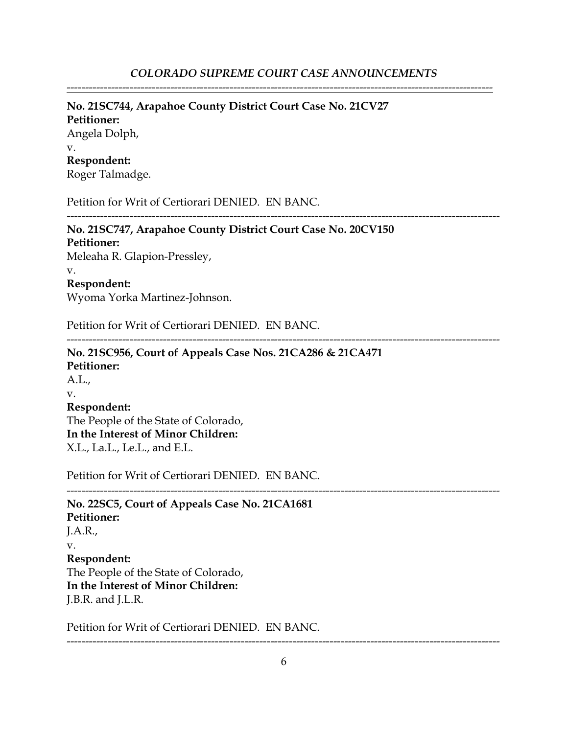-------------------------------------------------------------------------------------------------------------------

#### **No. 21SC744, Arapahoe County District Court Case No. 21CV27**

**Petitioner:** Angela Dolph, v. **Respondent:** Roger Talmadge.

Petition for Writ of Certiorari DENIED. EN BANC.

**No. 21SC747, Arapahoe County District Court Case No. 20CV150 Petitioner:**

Meleaha R. Glapion-Pressley, v.

# **Respondent:**

Wyoma Yorka Martinez-Johnson.

Petition for Writ of Certiorari DENIED. EN BANC.

---------------------------------------------------------------------------------------------------------------------

---------------------------------------------------------------------------------------------------------------------

**No. 21SC956, Court of Appeals Case Nos. 21CA286 & 21CA471 Petitioner:** A.L., v. **Respondent:** The People of the State of Colorado, **In the Interest of Minor Children:** X.L., La.L., Le.L., and E.L.

Petition for Writ of Certiorari DENIED. EN BANC.

--------------------------------------------------------------------------------------------------------------------- **No. 22SC5, Court of Appeals Case No. 21CA1681 Petitioner:** J.A.R., v. **Respondent:** The People of the State of Colorado, **In the Interest of Minor Children:** J.B.R. and J.L.R.

Petition for Writ of Certiorari DENIED. EN BANC.